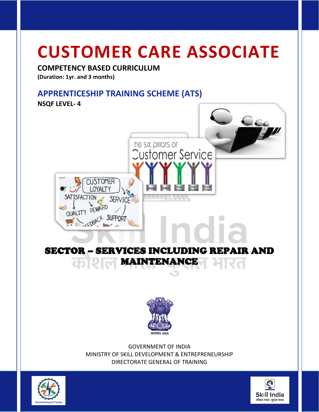#### **COMPETENCY BASED CURRICULUM**

**(Duration: 1yr. and 3 months)**

#### **APPRENTICESHIP TRAINING SCHEME (ATS)**

**NSQF LEVEL- 4**





GOVERNMENT OF INDIA MINISTRY OF SKILL DEVELOPMENT & ENTREPRENEURSHIP DIRECTORATE GENERAL OF TRAINING



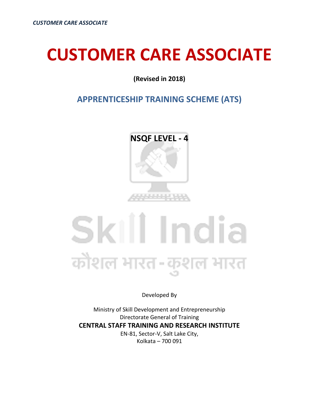**(Revised in 2018)**

#### **APPRENTICESHIP TRAINING SCHEME (ATS)**





# कोशल भारत-कुशल भारत

Developed By

Ministry of Skill Development and Entrepreneurship Directorate General of Training **CENTRAL STAFF TRAINING AND RESEARCH INSTITUTE** EN-81, Sector-V, Salt Lake City, Kolkata – 700 091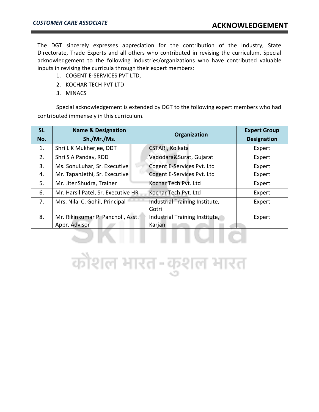The DGT sincerely expresses appreciation for the contribution of the Industry, State Directorate, Trade Experts and all others who contributed in revising the curriculum. Special acknowledgement to the following industries/organizations who have contributed valuable inputs in revising the curricula through their expert members:

- 1. COGENT E-SERVICES PVT LTD,
- 2. KOCHAR TECH PVT LTD
- 3. MINACS

Special acknowledgement is extended by DGT to the following expert members who had contributed immensely in this curriculum.

| SI. | <b>Name &amp; Designation</b>      | Organization                   | <b>Expert Group</b> |
|-----|------------------------------------|--------------------------------|---------------------|
| No. | Sh./Mr./Ms.                        |                                | <b>Designation</b>  |
| 1.  | Shri L K Mukherjee, DDT            | CSTARI, Kolkata                | Expert              |
| 2.  | Shri S A Pandav, RDD               | Vadodara&Surat, Gujarat        | Expert              |
| 3.  | Ms. SonuLuhar, Sr. Executive       | Cogent E-Services Pvt. Ltd     | Expert              |
| 4.  | Mr. TapanJethi, Sr. Executive      | Cogent E-Services Pvt. Ltd     | Expert              |
| 5.  | Mr. JitenShudra, Trainer           | Kochar Tech Pvt. Ltd           | Expert              |
| 6.  | Mr. Harsil Patel, Sr. Executive HR | Kochar Tech Pvt. Ltd           | Expert              |
| 7.  | Mrs. Nila C. Gohil, Principal      | Industrial Training Institute, | Expert              |
|     |                                    | Gotri                          |                     |
| 8.  | Mr. Rikinkumar P. Pancholi, Asst.  | Industrial Training Institute, | Expert              |
|     | Appr. Advisor                      | Karjan                         |                     |

कौशल भारत-कुशल भारत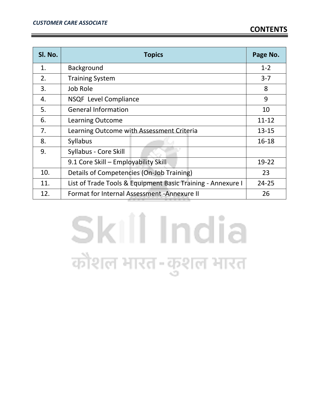| SI. No. | <b>Topics</b>                                               | Page No.  |
|---------|-------------------------------------------------------------|-----------|
| 1.      | Background                                                  | $1 - 2$   |
| 2.      | <b>Training System</b>                                      | $3 - 7$   |
| 3.      | Job Role                                                    | 8         |
| 4.      | NSQF Level Compliance                                       | 9         |
| 5.      | <b>General Information</b>                                  | 10        |
| 6.      | <b>Learning Outcome</b>                                     | $11 - 12$ |
| 7.      | Learning Outcome with Assessment Criteria                   | $13 - 15$ |
| 8.      | Syllabus                                                    | $16 - 18$ |
| 9.      | Syllabus - Core Skill                                       |           |
|         | 9.1 Core Skill - Employability Skill                        | $19 - 22$ |
| 10.     | Details of Competencies (On-Job Training)                   | 23        |
| 11.     | List of Trade Tools & Equipment Basic Training - Annexure I | $24 - 25$ |
| 12.     | Format for Internal Assessment - Annexure II                | 26        |

## Skill India कौशल भारत-कुशल भारत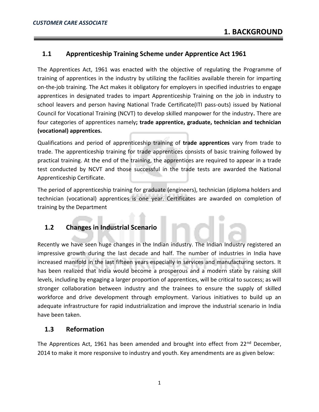#### **1.1 Apprenticeship Training Scheme under Apprentice Act 1961**

The Apprentices Act, 1961 was enacted with the objective of regulating the Programme of training of apprentices in the industry by utilizing the facilities available therein for imparting on-the-job training. The Act makes it obligatory for employers in specified industries to engage apprentices in designated trades to impart Apprenticeship Training on the job in industry to school leavers and person having National Trade Certificate(ITI pass-outs) issued by National Council for Vocational Training (NCVT) to develop skilled manpower for the industry**.** There are four categories of apprentices namely**; trade apprentice, graduate, technician and technician (vocational) apprentices.** 

Qualifications and period of apprenticeship training of **trade apprentices** vary from trade to trade. The apprenticeship training for trade apprentices consists of basic training followed by practical training. At the end of the training, the apprentices are required to appear in a trade test conducted by NCVT and those successful in the trade tests are awarded the National Apprenticeship Certificate.

The period of apprenticeship training for graduate (engineers), technician (diploma holders and technician (vocational) apprentices is one year. Certificates are awarded on completion of training by the Department

#### **1.2 Changes in Industrial Scenario**

Recently we have seen huge changes in the Indian industry. The Indian Industry registered an impressive growth during the last decade and half. The number of industries in India have increased manifold in the last fifteen years especially in services and manufacturing sectors. It has been realized that India would become a prosperous and a modern state by raising skill levels, including by engaging a larger proportion of apprentices, will be critical to success; as will stronger collaboration between industry and the trainees to ensure the supply of skilled workforce and drive development through employment. Various initiatives to build up an adequate infrastructure for rapid industrialization and improve the industrial scenario in India have been taken.

#### **1.3 Reformation**

The Apprentices Act, 1961 has been amended and brought into effect from  $22^{nd}$  December, 2014 to make it more responsive to industry and youth. Key amendments are as given below: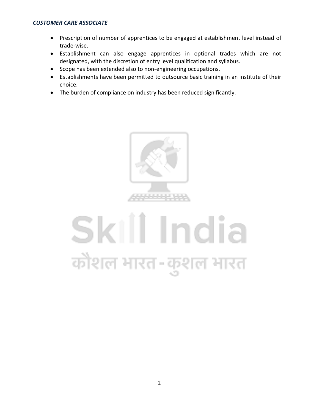- Prescription of number of apprentices to be engaged at establishment level instead of trade-wise.
- Establishment can also engage apprentices in optional trades which are not designated, with the discretion of entry level qualification and syllabus.
- Scope has been extended also to non-engineering occupations.
- Establishments have been permitted to outsource basic training in an institute of their choice.
- The burden of compliance on industry has been reduced significantly.



### Skill India कोशल भारत-कुशल भारत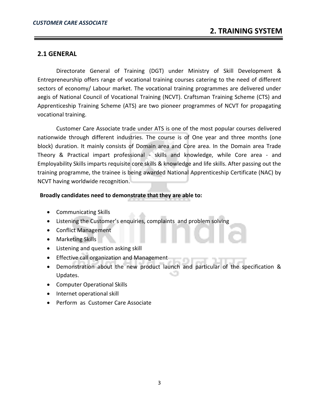#### **2.1 GENERAL**

Directorate General of Training (DGT) under Ministry of Skill Development & Entrepreneurship offers range of vocational training courses catering to the need of different sectors of economy/ Labour market. The vocational training programmes are delivered under aegis of National Council of Vocational Training (NCVT). Craftsman Training Scheme (CTS) and Apprenticeship Training Scheme (ATS) are two pioneer programmes of NCVT for propagating vocational training.

Customer Care Associate trade under ATS is one of the most popular courses delivered nationwide through different industries. The course is of One year and three months (one block) duration. It mainly consists of Domain area and Core area. In the Domain area Trade Theory & Practical impart professional - skills and knowledge, while Core area - and Employability Skills imparts requisite core skills & knowledge and life skills. After passing out the training programme, the trainee is being awarded National Apprenticeship Certificate (NAC) by NCVT having worldwide recognition.

#### **Broadly candidates need to demonstrate that they are able to:**

- Communicating Skills
- Listening the Customer's enquiries, complaints and problem solving
- Conflict Management
- Marketing Skills
- Listening and question asking skill
- Effective call organization and Management
- Demonstration about the new product launch and particular of the specification & Updates.
- Computer Operational Skills
- Internet operational skill
- Perform as Customer Care Associate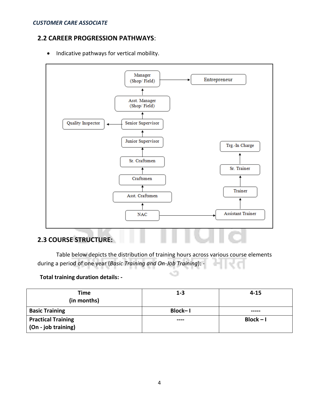#### **2.2 CAREER PROGRESSION PATHWAYS**:

• Indicative pathways for vertical mobility.



#### **2.3 COURSE STRUCTURE:**

Table below depicts the distribution of training hours across various course elements during a period of one year (*Basic Training and On-Job Training*): -

œ

#### **Total training duration details: -**

| Time<br>(in months)                              | $1 - 3$        | $4 - 15$    |
|--------------------------------------------------|----------------|-------------|
| <b>Basic Training</b>                            | <b>Block-1</b> | -----       |
| <b>Practical Training</b><br>(On - job training) | ----           | $Block - I$ |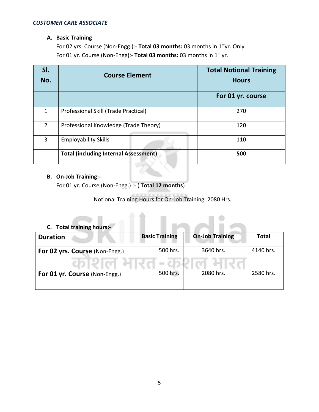#### **A. Basic Training**

For 02 yrs. Course (Non-Engg.):- **Total 03 months:** 03 months in 1styr. Only For 01 yr. Course (Non-Engg):- **Total 03 months:** 03 months in 1st yr.

| SI.<br>No. | <b>Course Element</b>                        | <b>Total Notional Training</b><br><b>Hours</b> |
|------------|----------------------------------------------|------------------------------------------------|
|            |                                              | For 01 yr. course                              |
| 1          | Professional Skill (Trade Practical)         | 270                                            |
| 2          | Professional Knowledge (Trade Theory)        | 120                                            |
| 3          | <b>Employability Skills</b>                  | 110                                            |
|            | <b>Total (including Internal Assessment)</b> | 500                                            |

#### **B. On-Job Training:-**

For 01 yr. Course (Non-Engg.) :- ( **Total 12 months**)

Notional Training Hours for On-Job Training: 2080 Hrs.

#### **C. Total training hours:-**

| C. Total training hours:-      |                       |                        |              |
|--------------------------------|-----------------------|------------------------|--------------|
| <b>Duration</b>                | <b>Basic Training</b> | <b>On-Job Training</b> | <b>Total</b> |
| For 02 yrs. Course (Non-Engg.) | 500 hrs.              | 3640 hrs.              | 4140 hrs.    |
|                                |                       |                        |              |
| For 01 yr. Course (Non-Engg.)  | 500 hrs.              | 2080 hrs.              | 2580 hrs.    |
|                                |                       |                        |              |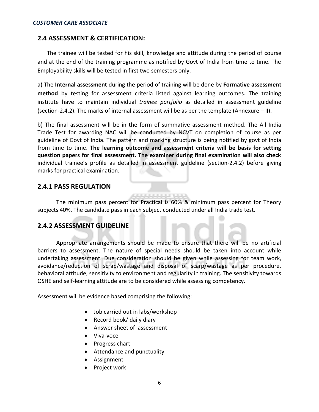#### **2.4 ASSESSMENT & CERTIFICATION:**

The trainee will be tested for his skill, knowledge and attitude during the period of course and at the end of the training programme as notified by Govt of India from time to time. The Employability skills will be tested in first two semesters only.

a) The **Internal assessment** during the period of training will be done by **Formative assessment method** by testing for assessment criteria listed against learning outcomes. The training institute have to maintain individual *trainee portfolio* as detailed in assessment guideline (section-2.4.2). The marks of internal assessment will be as per the template (Annexure – II).

b) The final assessment will be in the form of summative assessment method. The All India Trade Test for awarding NAC will be conducted by NCVT on completion of course as per guideline of Govt of India. The pattern and marking structure is being notified by govt of India from time to time. **The learning outcome and assessment criteria will be basis for setting question papers for final assessment. The examiner during final examination will also check**  individual trainee's profile as detailed in assessment guideline (section-2.4.2) before giving marks for practical examination.

#### **2.4.1 PASS REGULATION**

The minimum pass percent for Practical is 60% & minimum pass percent for Theory subjects 40%. The candidate pass in each subject conducted under all India trade test.

#### **2.4.2 ASSESSMENT GUIDELINE**

Appropriate arrangements should be made to ensure that there will be no artificial barriers to assessment. The nature of special needs should be taken into account while undertaking assessment. Due consideration should be given while assessing for team work, avoidance/reduction of scrap/wastage and disposal of scarp/wastage as per procedure, behavioral attitude, sensitivity to environment and regularity in training. The sensitivity towards OSHE and self-learning attitude are to be considered while assessing competency.

Assessment will be evidence based comprising the following:

- Job carried out in labs/workshop
- Record book/ daily diary
- Answer sheet of assessment
- Viva-voce
- Progress chart
- Attendance and punctuality
- Assignment
- Project work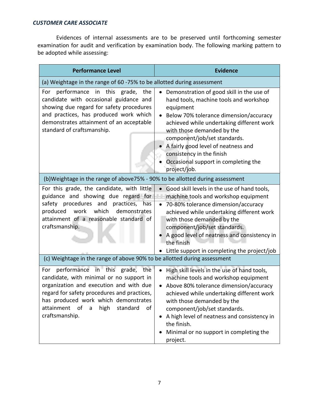Evidences of internal assessments are to be preserved until forthcoming semester examination for audit and verification by examination body. The following marking pattern to be adopted while assessing:

| <b>Performance Level</b>                                                                                                                                                                                                                                                                                             | <b>Evidence</b>                                                                                                                                                                                                                                                                                                                                                                   |  |
|----------------------------------------------------------------------------------------------------------------------------------------------------------------------------------------------------------------------------------------------------------------------------------------------------------------------|-----------------------------------------------------------------------------------------------------------------------------------------------------------------------------------------------------------------------------------------------------------------------------------------------------------------------------------------------------------------------------------|--|
| (a) Weightage in the range of 60 -75% to be allotted during assessment                                                                                                                                                                                                                                               |                                                                                                                                                                                                                                                                                                                                                                                   |  |
| performance in this grade, the<br>For<br>candidate with occasional guidance and<br>showing due regard for safety procedures<br>and practices, has produced work which<br>demonstrates attainment of an acceptable<br>standard of craftsmanship.                                                                      | Demonstration of good skill in the use of<br>hand tools, machine tools and workshop<br>equipment<br>Below 70% tolerance dimension/accuracy<br>achieved while undertaking different work<br>with those demanded by the<br>component/job/set standards.<br>A fairly good level of neatness and<br>consistency in the finish<br>Occasional support in completing the<br>project/job. |  |
| (b) Weightage in the range of above 75% - 90% to be allotted during assessment                                                                                                                                                                                                                                       |                                                                                                                                                                                                                                                                                                                                                                                   |  |
| For this grade, the candidate, with little<br>guidance and showing due regard for<br>safety procedures and<br>practices,<br>has<br>produced<br>work<br>which<br>demonstrates<br>attainment of a reasonable standard of<br>craftsmanship.<br>(c) Weightage in the range of above 90% to be allotted during assessment | Good skill levels in the use of hand tools,<br>machine tools and workshop equipment<br>70-80% tolerance dimension/accuracy<br>achieved while undertaking different work<br>with those demanded by the<br>component/job/set standards.<br>A good level of neatness and consistency in<br>the finish<br>Little support in completing the project/job                                |  |
| performance in this grade, the<br>For<br>candidate, with minimal or no support in<br>organization and execution and with due<br>regard for safety procedures and practices,<br>has produced work which demonstrates<br>attainment<br>of<br>high<br>standard<br>of<br>a<br>craftsmanship.                             | High skill levels in the use of hand tools,<br>machine tools and workshop equipment<br>Above 80% tolerance dimension/accuracy<br>achieved while undertaking different work<br>with those demanded by the<br>component/job/set standards.<br>A high level of neatness and consistency in<br>the finish.<br>Minimal or no support in completing the<br>project.                     |  |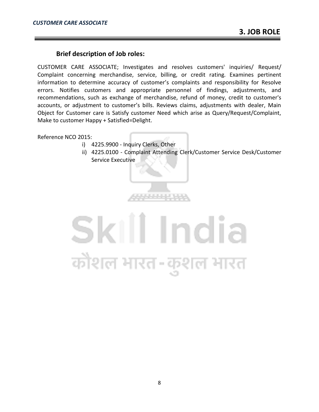#### **Brief description of Job roles:**

CUSTOMER CARE ASSOCIATE; Investigates and resolves customers' inquiries/ Request/ Complaint concerning merchandise, service, billing, or credit rating. Examines pertinent information to determine accuracy of customer's complaints and responsibility for Resolve errors. Notifies customers and appropriate personnel of findings, adjustments, and recommendations, such as exchange of merchandise, refund of money, credit to customer's accounts, or adjustment to customer's bills. Reviews claims, adjustments with dealer, Main Object for Customer care is Satisfy customer Need which arise as Query/Request/Complaint, Make to customer Happy + Satisfied=Delight.

Reference NCO 2015:

- i) 4225.9900 Inquiry Clerks, Other
- ii) 4225.0100 Complaint Attending Clerk/Customer Service Desk/Customer Service Executive

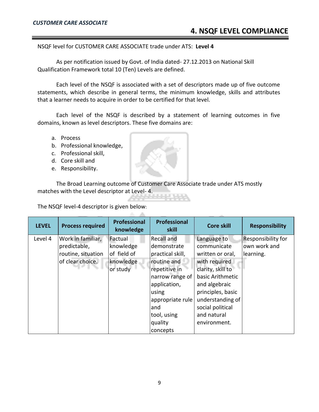NSQF level for CUSTOMER CARE ASSOCIATE trade under ATS: **Level 4**

As per notification issued by Govt. of India dated- 27.12.2013 on National Skill Qualification Framework total 10 (Ten) Levels are defined.

Each level of the NSQF is associated with a set of descriptors made up of five outcome statements, which describe in general terms, the minimum knowledge, skills and attributes that a learner needs to acquire in order to be certified for that level.

Each level of the NSQF is described by a statement of learning outcomes in five domains, known as level descriptors. These five domains are:

- a. Process
- b. Professional knowledge,
- c. Professional skill,
- d. Core skill and
- e. Responsibility.

The Broad Learning outcome of Customer Care Associate trade under ATS mostly matches with the Level descriptor at Level- 4.

五、五、

The NSQF level-4 descriptor is given below:

| <b>LEVEL</b> | <b>Process required</b> | <b>Professional</b><br>knowledge | <b>Professional</b><br>skill | <b>Core skill</b> | <b>Responsibility</b>     |
|--------------|-------------------------|----------------------------------|------------------------------|-------------------|---------------------------|
| Level 4      | Work in familiar,       | Factual                          | <b>Recall and</b>            | Language to       | <b>Responsibility for</b> |
|              | predictable,            | knowledge                        | demonstrate                  | communicate       | own work and              |
|              | routine, situation      | of field of                      | practical skill,             | written or oral,  | learning.                 |
|              | of clear choice.        | knowledge                        | routine and                  | with required     |                           |
|              |                         | or study                         | repetitive in                | clarity, skill to |                           |
|              |                         |                                  | narrow range of              | basic Arithmetic  |                           |
|              |                         |                                  | application,                 | and algebraic     |                           |
|              |                         |                                  | using                        | principles, basic |                           |
|              |                         |                                  | appropriate rule             | understanding of  |                           |
|              |                         |                                  | and                          | social political  |                           |
|              |                         |                                  | tool, using                  | and natural       |                           |
|              |                         |                                  | quality                      | environment.      |                           |
|              |                         |                                  | concepts                     |                   |                           |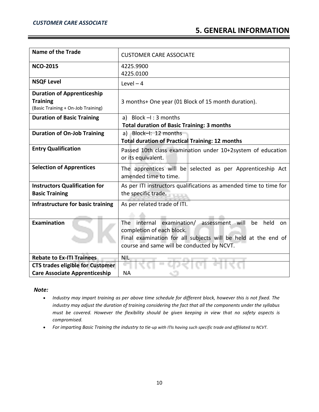| <b>Name of the Trade</b>                | <b>CUSTOMER CARE ASSOCIATE</b>                                    |
|-----------------------------------------|-------------------------------------------------------------------|
| <b>NCO-2015</b>                         | 4225.9900                                                         |
|                                         | 4225.0100                                                         |
| <b>NSQF Level</b>                       | Level $-4$                                                        |
| <b>Duration of Apprenticeship</b>       |                                                                   |
| <b>Training</b>                         | 3 months+ One year (01 Block of 15 month duration).               |
| (Basic Training + On-Job Training)      |                                                                   |
| <b>Duration of Basic Training</b>       | a) Block $-I$ : 3 months                                          |
|                                         | <b>Total duration of Basic Training: 3 months</b>                 |
| <b>Duration of On-Job Training</b>      | a) Block-I: 12 months                                             |
|                                         | <b>Total duration of Practical Training: 12 months</b>            |
| <b>Entry Qualification</b>              | Passed 10th class examination under 10+2system of education       |
|                                         | or its equivalent.                                                |
| <b>Selection of Apprentices</b>         | The apprentices will be selected as per Apprenticeship Act        |
|                                         | amended time to time.                                             |
| <b>Instructors Qualification for</b>    | As per ITI instructors qualifications as amended time to time for |
| <b>Basic Training</b>                   | the specific trade.                                               |
| Infrastructure for basic training       | As per related trade of ITI.                                      |
|                                         |                                                                   |
| Examination                             | The internal examination/ assessment will<br>held<br>be<br>on     |
|                                         | completion of each block.                                         |
|                                         | Final examination for all subjects will be held at the end of     |
|                                         | course and same will be conducted by NCVT.                        |
| <b>Rebate to Ex-ITI Trainees</b>        | NIL.                                                              |
| <b>CTS trades eligible for Customer</b> |                                                                   |
| <b>Care Associate Apprenticeship</b>    | <b>NA</b>                                                         |

#### *Note:*

- *Industry may impart training as per above time schedule for different block, however this is not fixed. The industry may adjust the duration of training considering the fact that all the components under the syllabus must be covered. However the flexibility should be given keeping in view that no safety aspects is compromised.*
- *For imparting Basic Training the industry to tie-up with ITIs having such specific trade and affiliated to NCVT.*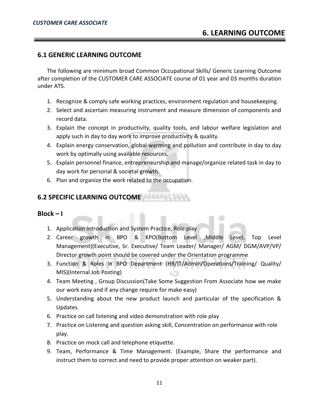#### **6.1 GENERIC LEARNING OUTCOME**

The following are minimum broad Common Occupational Skills/ Generic Learning Outcome after completion of the CUSTOMER CARE ASSOCIATE course of 01 year and 03 months duration under ATS.

- 1. Recognize & comply safe working practices, environment regulation and housekeeping.
- 2. Select and ascertain measuring instrument and measure dimension of components and record data.
- 3. Explain the concept in productivity, quality tools, and labour welfare legislation and apply such in day to day work to improve productivity & quality.
- 4. Explain energy conservation, global warming and pollution and contribute in day to day work by optimally using available resources.
- 5. Explain personnel finance, entrepreneurship and manage/organize related task in day to day work for personal & societal growth.
- 6. Plan and organize the work related to the occupation.

#### **6.2 SPECIFIC LEARNING OUTCOME**

#### **Block – I**

- 1. Application Introduction and System Practice, Role play
- 2. Career growth in BPO & KPO(Bottom Level ,Middle Level, Top Level Management)(Executive, Sr. Executive/ Team Leader/ Manager/ AGM/ DGM/AVP/VP/ Director growth point should be covered under the Orientation programme
- 3. Function & Roles in BPO Department (HR/IT/Admin/Operations/Training/ Quality/ MIS)(Internal Job Posting)
- 4. Team Meeting , Group Discussion(Take Some Suggestion From Associate how we make our work easy and if any change require for make easy)
- 5. Understanding about the new product launch and particular of the specification & Updates.
- 6. Practice on call listening and video demonstration with role play
- 7. Practice on Listening and question asking skill, Concentration on performance with role play.
- 8. Practice on mock call and telephone etiquette.
- 9. Team, Performance & Time Management. (Example, Share the performance and instruct them to correct and need to provide proper attention on weaker part).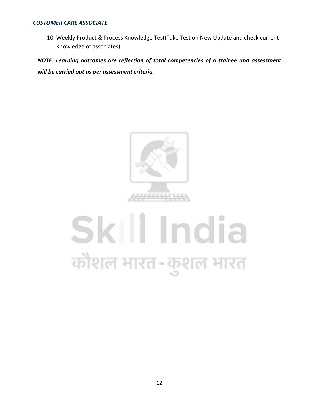10. Weekly Product & Process Knowledge Test(Take Test on New Update and check current Knowledge of associates).

*NOTE: Learning outcomes are reflection of total competencies of a trainee and assessment will be carried out as per assessment criteria.*



### Skill India कौशल भारत-कुशल भारत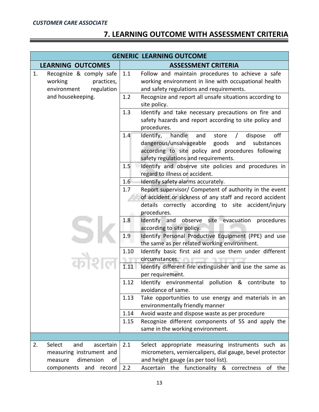#### **7. LEARNING OUTCOME WITH ASSESSMENT CRITERIA**

| <b>GENERIC LEARNING OUTCOME</b>                                                     |                                                                                                                                                                                                                     |  |
|-------------------------------------------------------------------------------------|---------------------------------------------------------------------------------------------------------------------------------------------------------------------------------------------------------------------|--|
| <b>LEARNING OUTCOMES</b>                                                            | <b>ASSESSMENT CRITERIA</b>                                                                                                                                                                                          |  |
| 1.<br>Recognize & comply safe<br>working<br>practices,<br>environment<br>regulation | 1.1<br>Follow and maintain procedures to achieve a safe<br>working environment in line with occupational health<br>and safety regulations and requirements.                                                         |  |
| and housekeeping.                                                                   | Recognize and report all unsafe situations according to<br>1.2<br>site policy.                                                                                                                                      |  |
|                                                                                     | 1.3<br>Identify and take necessary precautions on fire and<br>safety hazards and report according to site policy and<br>procedures.                                                                                 |  |
|                                                                                     | handle<br>off<br>1.4<br>Identify,<br>and<br>dispose<br>store<br>dangerous/unsalvageable<br>goods<br>and<br>substances<br>according to site policy and procedures following<br>safety regulations and requirements.  |  |
|                                                                                     | Identify and observe site policies and procedures in<br>1.5<br>regard to illness or accident.                                                                                                                       |  |
|                                                                                     | 1.6<br>Identify safety alarms accurately.                                                                                                                                                                           |  |
|                                                                                     | 1.7<br>Report supervisor/ Competent of authority in the event<br>of accident or sickness of any staff and record accident<br>details<br>correctly according to site accident/injury<br>procedures.                  |  |
|                                                                                     | Identify<br>observe<br>1.8<br>and<br>site -<br>evacuation<br>procedures<br>according to site policy.<br>1.9<br>Identify Personal Productive Equipment (PPE) and use<br>the same as per related working environment. |  |
|                                                                                     | 1.10<br>Identify basic first aid and use them under different<br>circumstances.                                                                                                                                     |  |
|                                                                                     | 1.11<br>Identify different fire extinguisher and use the same as<br>per requirement.                                                                                                                                |  |
|                                                                                     | 1.12<br>Identify environmental<br>pollution & contribute<br>to<br>avoidance of same.                                                                                                                                |  |
|                                                                                     | 1.13<br>Take opportunities to use energy and materials in an<br>environmentally friendly manner                                                                                                                     |  |
|                                                                                     | 1.14<br>Avoid waste and dispose waste as per procedure                                                                                                                                                              |  |
|                                                                                     | 1.15<br>Recognize different components of 5S and apply the<br>same in the working environment.                                                                                                                      |  |
|                                                                                     |                                                                                                                                                                                                                     |  |
| 2.<br>Select<br>ascertain<br>and<br>measuring instrument and<br>dimension           | 2.1<br>Select appropriate measuring instruments such as<br>micrometers, verniercalipers, dial gauge, bevel protector                                                                                                |  |
| of<br>measure<br>and<br>components<br>record                                        | and height gauge (as per tool list).<br>2.2<br>Ascertain the functionality & correctness<br>of<br>the                                                                                                               |  |
|                                                                                     |                                                                                                                                                                                                                     |  |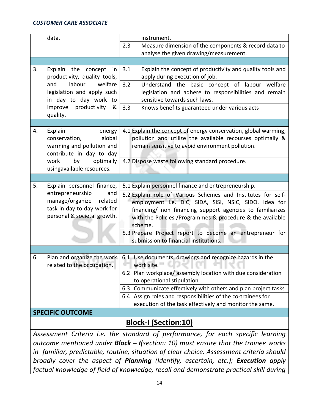| data.                                                                                     | instrument.                                                                              |  |  |
|-------------------------------------------------------------------------------------------|------------------------------------------------------------------------------------------|--|--|
|                                                                                           | 2.3<br>Measure dimension of the components & record data to                              |  |  |
|                                                                                           | analyse the given drawing/measurement.                                                   |  |  |
|                                                                                           |                                                                                          |  |  |
| 3.<br>Explain the<br>concept<br>in                                                        | 3.1<br>Explain the concept of productivity and quality tools and                         |  |  |
| productivity, quality tools,                                                              | apply during execution of job.                                                           |  |  |
| labour<br>welfare<br>and                                                                  | 3.2<br>Understand the basic concept of labour welfare                                    |  |  |
| legislation and apply such                                                                | legislation and adhere to responsibilities and remain                                    |  |  |
| in day to day work to                                                                     | sensitive towards such laws.                                                             |  |  |
| improve productivity<br>&                                                                 | 3.3<br>Knows benefits guaranteed under various acts                                      |  |  |
| quality.                                                                                  |                                                                                          |  |  |
|                                                                                           |                                                                                          |  |  |
| 4.<br>Explain<br>energy                                                                   | 4.1 Explain the concept of energy conservation, global warming,                          |  |  |
| global<br>conservation,                                                                   | pollution and utilize the available recourses optimally &                                |  |  |
| warming and pollution and                                                                 | remain sensitive to avoid environment pollution.                                         |  |  |
| contribute in day to day                                                                  |                                                                                          |  |  |
| optimally<br>work<br>by                                                                   | 4.2 Dispose waste following standard procedure.                                          |  |  |
| usingavailable resources.                                                                 |                                                                                          |  |  |
|                                                                                           |                                                                                          |  |  |
|                                                                                           |                                                                                          |  |  |
| 5.<br>Explain personnel finance,                                                          | 5.1 Explain personnel finance and entrepreneurship.                                      |  |  |
| entrepreneurship<br>and                                                                   | 5.2 Explain role of Various Schemes and Institutes for self-                             |  |  |
| manage/organize<br>related                                                                | employment i.e. DIC, SIDA, SISI, NSIC, SIDO, Idea for                                    |  |  |
| task in day to day work for                                                               | financing/ non financing support agencies to familiarizes                                |  |  |
| personal & societal growth.                                                               | with the Policies /Programmes & procedure & the available                                |  |  |
|                                                                                           | scheme.                                                                                  |  |  |
|                                                                                           | 5.3 Prepare Project report to become an entrepreneur for                                 |  |  |
|                                                                                           | submission to financial institutions.                                                    |  |  |
|                                                                                           |                                                                                          |  |  |
| Plan and organize the work<br>6.                                                          | 6.1 Use documents, drawings and recognize hazards in the                                 |  |  |
| related to the occupation.                                                                | work site.                                                                               |  |  |
|                                                                                           | 6.2 Plan workplace/assembly location with due consideration                              |  |  |
|                                                                                           | to operational stipulation                                                               |  |  |
|                                                                                           | 6.3 Communicate effectively with others and plan project tasks                           |  |  |
|                                                                                           | 6.4 Assign roles and responsibilities of the co-trainees for                             |  |  |
|                                                                                           | execution of the task effectively and monitor the same.                                  |  |  |
| <b>SPECIFIC OUTCOME</b>                                                                   |                                                                                          |  |  |
|                                                                                           |                                                                                          |  |  |
| <b>Block-I (Section:10)</b>                                                               |                                                                                          |  |  |
| Assessment Criteria i.e. the standard of performance, for each specific learning          |                                                                                          |  |  |
| outcome mentioned under <b>Block - I</b> (section: 10) must ensure that the trainee works |                                                                                          |  |  |
|                                                                                           | in familiar, predictable, routine, situation of clear choice. Assessment criteria should |  |  |

*broadly cover the aspect of Planning (Identify, ascertain, etc.); Execution apply factual knowledge of field of knowledge, recall and demonstrate practical skill during*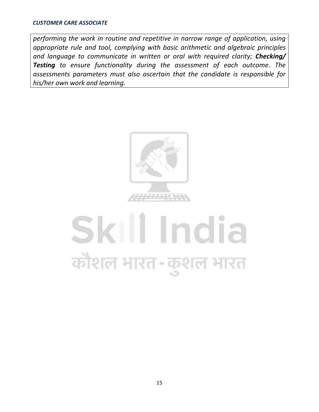*performing the work in routine and repetitive in narrow range of application, using appropriate rule and tool, complying with basic arithmetic and algebraic principles and language to communicate in written or oral with required clarity; Checking/ Testing to ensure functionality during the assessment of each outcome. The assessments parameters must also ascertain that the candidate is responsible for his/her own work and learning.*



### Skill India कोशल भारत-कुशल भारत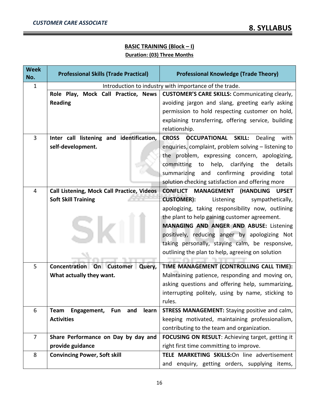<u> 1989 - Johann Stoff, deutscher Stoffen und der Stoffen und der Stoffen und der Stoffen und der Stoffen und der</u>

#### **BASIC TRAINING (Block – I) Duration: (03) Three Months**

| <b>Week</b><br>No. | <b>Professional Skills (Trade Practical)</b>           | <b>Professional Knowledge (Trade Theory)</b>            |  |
|--------------------|--------------------------------------------------------|---------------------------------------------------------|--|
| $\mathbf{1}$       | Introduction to industry with importance of the trade. |                                                         |  |
|                    | Role Play, Mock Call Practice, News                    | <b>CUSTOMER'S CARE SKILLS: Communicating clearly,</b>   |  |
|                    | <b>Reading</b>                                         | avoiding jargon and slang, greeting early asking        |  |
|                    |                                                        | permission to hold respecting customer on hold,         |  |
|                    |                                                        | explaining transferring, offering service, building     |  |
|                    |                                                        | relationship.                                           |  |
| $\overline{3}$     | Inter call listening and identification,               | <b>CROSS OCCUPATIONAL SKILL:</b><br>Dealing<br>with     |  |
|                    | self-development.                                      | enquiries, complaint, problem solving - listening to    |  |
|                    |                                                        | the problem, expressing concern, apologizing,           |  |
|                    |                                                        | committing to help, clarifying the<br>details           |  |
|                    |                                                        | summarizing and confirming providing total              |  |
|                    |                                                        | solution checking satisfaction and offering more        |  |
| $\overline{4}$     | Call Listening, Mock Call Practice, Videos             | CONFLICT MANAGEMENT (HANDLING UPSET                     |  |
|                    | <b>Soft Skill Training</b>                             | <b>CUSTOMER):</b><br>Listening<br>sympathetically,      |  |
|                    |                                                        | apologizing, taking responsibility now, outlining       |  |
|                    |                                                        | the plant to help gaining customer agreement.           |  |
|                    |                                                        | MANAGING AND ANGER AND ABUSE: Listening                 |  |
|                    |                                                        | positively, reducing anger by apologizing Not           |  |
|                    |                                                        | taking personally, staying calm, be responsive,         |  |
|                    |                                                        | outlining the plan to help, agreeing on solution        |  |
| 5                  | <b>Concentration On Customer</b><br>Query,             | TIME MANAGEMENT (CONTROLLING CALL TIME):                |  |
|                    | What actually they want.                               | Maintaining patience, responding and moving on,         |  |
|                    |                                                        | asking questions and offering help, summarizing,        |  |
|                    |                                                        | interrupting politely, using by name, sticking to       |  |
|                    |                                                        | rules.                                                  |  |
| 6                  | Engagement,<br>and<br>Team<br>Fun<br>learn             | <b>STRESS MANAGEMENT:</b> Staying positive and calm,    |  |
|                    | <b>Activities</b>                                      | keeping motivated, maintaining professionalism,         |  |
|                    |                                                        | contributing to the team and organization.              |  |
| $\overline{7}$     | Share Performance on Day by day and                    | <b>FOCUSING ON RESULT:</b> Achieving target, getting it |  |
|                    | provide guidance                                       | right first time committing to improve.                 |  |
| 8                  | <b>Convincing Power, Soft skill</b>                    | TELE MARKETING SKILLS: On line advertisement            |  |
|                    |                                                        | enquiry, getting orders, supplying items,<br>and        |  |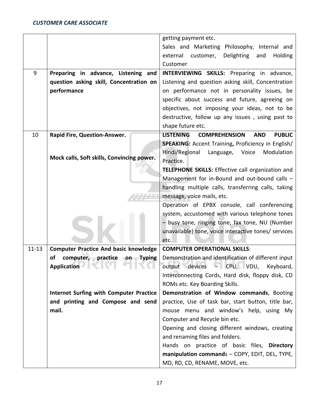|           |                                                     | getting payment etc.                                                    |
|-----------|-----------------------------------------------------|-------------------------------------------------------------------------|
|           |                                                     | Sales and Marketing Philosophy, Internal and                            |
|           |                                                     | external customer,<br>Delighting<br>and<br>Holding                      |
|           |                                                     | Customer                                                                |
| 9         | Preparing in advance, Listening and                 | <b>INTERVIEWING SKILLS:</b> Preparing in advance,                       |
|           | question asking skill, Concentration on             | Listening and question asking skill, Concentration                      |
|           | performance                                         | on performance not in personality issues, be                            |
|           |                                                     | specific about success and future, agreeing on                          |
|           |                                                     | objectives, not imposing your ideas, not to be                          |
|           |                                                     | destructive, follow up any issues, using past to                        |
|           |                                                     | shape future etc.                                                       |
| 10        | <b>Rapid Fire, Question-Answer.</b>                 | <b>PUBLIC</b><br><b>LISTENING</b><br><b>COMPREHENSION</b><br><b>AND</b> |
|           |                                                     | <b>SPEAKING: Accent Training, Proficiency in English/</b>               |
|           |                                                     | Hindi/Regional<br>Language, Voice<br>Modulation                         |
|           | Mock calls, Soft skills, Convincing power.          | Practice.                                                               |
|           |                                                     | <b>TELEPHONE SKILLS:</b> Effective call organization and                |
|           |                                                     | Management for in-Bound and out-bound calls -                           |
|           |                                                     | handling multiple calls, transferring calls, taking                     |
|           |                                                     | message, voice mails, etc.                                              |
|           |                                                     | Operation of EPBX console, call conferencing                            |
|           |                                                     | system, accustomed with various telephone tones                         |
|           |                                                     | - busy tone, ringing tone, fax tone, NU (Number                         |
|           |                                                     | unavailable) tone, voice interactive tones/ services                    |
|           |                                                     | etc.                                                                    |
| $11 - 13$ | <b>Computer Practice And basic knowledge</b>        | <b>COMPUTER OPERATIONAL SKILLS:</b>                                     |
|           | computer, practice on<br><b>of</b><br><b>Typing</b> | Demonstration and identification of different input                     |
|           | <b>Application Application</b>                      | output devices - CPU, VDU, Keyboard,                                    |
|           |                                                     | Interconnecting Cords, Hard disk, floppy disk, CD                       |
|           |                                                     | ROMs etc. Key Boarding Skills.                                          |
|           | <b>Internet Surfing with Computer Practice</b>      | Demonstration of Window commands, Booting                               |
|           | and printing and Compose and send                   | practice, Use of task bar, start button, title bar,                     |
|           | mail.                                               | mouse menu and window's help, using My                                  |
|           |                                                     | Computer and Recycle bin etc.                                           |
|           |                                                     | Opening and closing different windows, creating                         |
|           |                                                     | and renaming files and folders.                                         |
|           |                                                     | Hands on practice of basic files, Directory                             |
|           |                                                     | manipulation commands - COPY, EDIT, DEL, TYPE,                          |
|           |                                                     | MD, RD, CD, RENAME, MOVE, etc.                                          |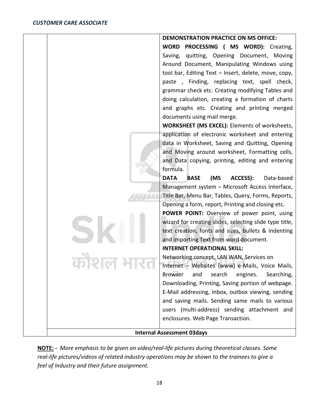|  | <b>DEMONSTRATION PRACTICE ON MS OFFICE:</b>                                                            |
|--|--------------------------------------------------------------------------------------------------------|
|  | WORD PROCESSING ( MS WORD): Creating,                                                                  |
|  | Saving, quitting, Opening Document, Moving                                                             |
|  | Around Document, Manipulating Windows using                                                            |
|  | tool bar, Editing Text - Insert, delete, move, copy,                                                   |
|  | paste, Finding, replacing text, spell check,                                                           |
|  | grammar check etc. Creating modifying Tables and                                                       |
|  | doing calculation, creating a formation of charts                                                      |
|  | and graphs etc. Creating and printing merged                                                           |
|  | documents using mail merge.                                                                            |
|  | <b>WORKSHEET (MS EXCEL): Elements of worksheets,</b>                                                   |
|  | application of electronic worksheet and entering                                                       |
|  | data in Worksheet, Saving and Quitting, Opening                                                        |
|  | and Moving around worksheet, Formatting cells,                                                         |
|  | and Data copying, printing, editing and entering                                                       |
|  | formula.                                                                                               |
|  | (MS<br>ACCESS):<br><b>DATA</b><br><b>BASE</b><br>Data-based                                            |
|  | Management system - Microsoft Access Interface,                                                        |
|  | Title Bar, Menu Bar, Tables, Query, Forms, Reports,                                                    |
|  | Opening a form, report, Printing and closing etc.                                                      |
|  | <b>POWER POINT:</b> Overview of power point, using                                                     |
|  | wizard for creating slides, selecting slide type title,                                                |
|  | text creation, fonts and sizes, bullets & indenting                                                    |
|  | and importing Text from word document.                                                                 |
|  | <b>INTERNET OPERATIONAL SKILL:</b>                                                                     |
|  | Networking concept, LAN WAN, Services on                                                               |
|  | Internet - Websites (www) e-Mails, Voice Mails,                                                        |
|  | and<br>search<br>engines.<br>Searching,<br><b>Browser</b>                                              |
|  | Downloading, Printing, Saving portion of webpage.<br>E-Mail addressing, Inbox, outbox viewing, sending |
|  | and saving mails. Sending same mails to various                                                        |
|  | users (multi-address) sending attachment and                                                           |
|  | enclosures. Web Page Transaction.                                                                      |
|  |                                                                                                        |
|  | <b>Internal Assessment 03days</b>                                                                      |

**NOTE: -** *More emphasis to be given on video/real-life pictures during theoretical classes. Some real-life pictures/videos of related industry operations may be shown to the trainees to give a feel of Industry and their future assignment.*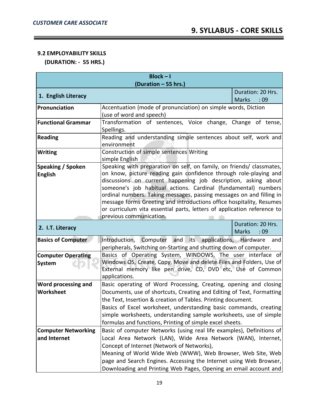#### **9.2 EMPLOYABILITY SKILLS**

 **(DURATION: - 55 HRS.)**

| $Block - I$                                                    |                                                                                                                                            |                                          |  |  |  |  |  |  |  |
|----------------------------------------------------------------|--------------------------------------------------------------------------------------------------------------------------------------------|------------------------------------------|--|--|--|--|--|--|--|
| (Duration - 55 hrs.)                                           |                                                                                                                                            |                                          |  |  |  |  |  |  |  |
| 1. English Literacy                                            |                                                                                                                                            | Duration: 20 Hrs.                        |  |  |  |  |  |  |  |
|                                                                |                                                                                                                                            | <b>Marks</b><br>:09                      |  |  |  |  |  |  |  |
| Pronunciation                                                  | Accentuation (mode of pronunciation) on simple words, Diction                                                                              |                                          |  |  |  |  |  |  |  |
|                                                                | (use of word and speech)                                                                                                                   |                                          |  |  |  |  |  |  |  |
| <b>Functional Grammar</b>                                      | Transformation of sentences, Voice change, Change of tense,<br>Spellings.                                                                  |                                          |  |  |  |  |  |  |  |
| <b>Reading</b>                                                 | Reading and understanding simple sentences about self, work and<br>environment                                                             |                                          |  |  |  |  |  |  |  |
| <b>Writing</b>                                                 | Construction of simple sentences Writing<br>simple English                                                                                 |                                          |  |  |  |  |  |  |  |
| Speaking / Spoken<br><b>English</b>                            | Speaking with preparation on self, on family, on friends/ classmates,<br>on know, picture reading gain confidence through role-playing and |                                          |  |  |  |  |  |  |  |
| discussions on current happening job description, asking about |                                                                                                                                            |                                          |  |  |  |  |  |  |  |
|                                                                | someone's job habitual actions. Cardinal (fundamental) numbers                                                                             |                                          |  |  |  |  |  |  |  |
|                                                                | ordinal numbers. Taking messages, passing messages on and filling in                                                                       |                                          |  |  |  |  |  |  |  |
|                                                                | message forms Greeting and introductions office hospitality, Resumes                                                                       |                                          |  |  |  |  |  |  |  |
|                                                                | or curriculum vita essential parts, letters of application reference to                                                                    |                                          |  |  |  |  |  |  |  |
|                                                                | previous communication.                                                                                                                    |                                          |  |  |  |  |  |  |  |
| 2. I.T. Literacy                                               |                                                                                                                                            | Duration: 20 Hrs.<br><b>Marks</b><br>:09 |  |  |  |  |  |  |  |
| <b>Basics of Computer</b>                                      | and its applications, Hardware<br>Introduction,<br>Computer                                                                                | and                                      |  |  |  |  |  |  |  |
|                                                                | peripherals, Switching on-Starting and shutting down of computer.                                                                          |                                          |  |  |  |  |  |  |  |
| <b>Computer Operating</b>                                      | Basics of Operating System, WINDOWS, The user interface of                                                                                 |                                          |  |  |  |  |  |  |  |
| System                                                         | Windows OS, Create, Copy, Move and delete Files and Folders, Use of                                                                        |                                          |  |  |  |  |  |  |  |
|                                                                | External memory like pen drive, CD, DVD etc, Use of Common                                                                                 |                                          |  |  |  |  |  |  |  |
|                                                                | applications.                                                                                                                              |                                          |  |  |  |  |  |  |  |
| Word processing and                                            | Basic operating of Word Processing, Creating, opening and closing                                                                          |                                          |  |  |  |  |  |  |  |
| <b>Worksheet</b>                                               | Documents, use of shortcuts, Creating and Editing of Text, Formatting                                                                      |                                          |  |  |  |  |  |  |  |
|                                                                | the Text, Insertion & creation of Tables. Printing document.                                                                               |                                          |  |  |  |  |  |  |  |
|                                                                | Basics of Excel worksheet, understanding basic commands, creating                                                                          |                                          |  |  |  |  |  |  |  |
|                                                                | simple worksheets, understanding sample worksheets, use of simple                                                                          |                                          |  |  |  |  |  |  |  |
|                                                                | formulas and functions, Printing of simple excel sheets.                                                                                   |                                          |  |  |  |  |  |  |  |
| <b>Computer Networking</b>                                     | Basic of computer Networks (using real life examples), Definitions of                                                                      |                                          |  |  |  |  |  |  |  |
| and Internet                                                   | Local Area Network (LAN), Wide Area Network (WAN), Internet,                                                                               |                                          |  |  |  |  |  |  |  |
|                                                                | Concept of Internet (Network of Networks),                                                                                                 |                                          |  |  |  |  |  |  |  |
|                                                                | Meaning of World Wide Web (WWW), Web Browser, Web Site, Web                                                                                |                                          |  |  |  |  |  |  |  |
|                                                                | page and Search Engines. Accessing the Internet using Web Browser,                                                                         |                                          |  |  |  |  |  |  |  |
|                                                                | Downloading and Printing Web Pages, Opening an email account and                                                                           |                                          |  |  |  |  |  |  |  |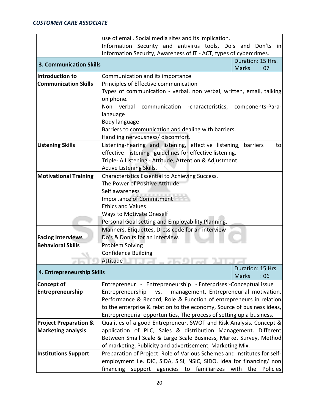|                                  | use of email. Social media sites and its implication.                    |                                |  |  |  |  |  |  |  |
|----------------------------------|--------------------------------------------------------------------------|--------------------------------|--|--|--|--|--|--|--|
|                                  | Information Security and antivirus tools, Do's and Don'ts in             |                                |  |  |  |  |  |  |  |
|                                  | Information Security, Awareness of IT - ACT, types of cybercrimes.       |                                |  |  |  |  |  |  |  |
| <b>3. Communication Skills</b>   |                                                                          | Duration: 15 Hrs.              |  |  |  |  |  |  |  |
|                                  |                                                                          | <b>Marks</b><br>: 07           |  |  |  |  |  |  |  |
| Introduction to                  | Communication and its importance                                         |                                |  |  |  |  |  |  |  |
| <b>Communication Skills</b>      | Principles of Effective communication                                    |                                |  |  |  |  |  |  |  |
|                                  | Types of communication - verbal, non verbal, written, email, talking     |                                |  |  |  |  |  |  |  |
|                                  | on phone.                                                                |                                |  |  |  |  |  |  |  |
|                                  | Non verbal<br>communication - characteristics, components-Para-          |                                |  |  |  |  |  |  |  |
|                                  | language                                                                 |                                |  |  |  |  |  |  |  |
|                                  | Body language                                                            |                                |  |  |  |  |  |  |  |
|                                  | Barriers to communication and dealing with barriers.                     |                                |  |  |  |  |  |  |  |
|                                  | Handling nervousness/ discomfort.                                        |                                |  |  |  |  |  |  |  |
| <b>Listening Skills</b>          | Listening-hearing and listening, effective listening,<br>barriers<br>to  |                                |  |  |  |  |  |  |  |
|                                  | effective listening guidelines for effective listening.                  |                                |  |  |  |  |  |  |  |
|                                  | Triple- A Listening - Attitude, Attention & Adjustment.                  |                                |  |  |  |  |  |  |  |
|                                  | Active Listening Skills.                                                 |                                |  |  |  |  |  |  |  |
| <b>Motivational Training</b>     | Characteristics Essential to Achieving Success.                          |                                |  |  |  |  |  |  |  |
|                                  | The Power of Positive Attitude.                                          |                                |  |  |  |  |  |  |  |
|                                  | Self awareness                                                           |                                |  |  |  |  |  |  |  |
|                                  | <b>Importance of Commitment</b>                                          |                                |  |  |  |  |  |  |  |
|                                  | <b>Ethics and Values</b>                                                 |                                |  |  |  |  |  |  |  |
|                                  | <b>Ways to Motivate Oneself</b>                                          |                                |  |  |  |  |  |  |  |
|                                  | Personal Goal setting and Employability Planning.                        |                                |  |  |  |  |  |  |  |
|                                  | Manners, Etiquettes, Dress code for an interview                         |                                |  |  |  |  |  |  |  |
| <b>Facing Interviews</b>         | Do's & Don'ts for an interview.                                          |                                |  |  |  |  |  |  |  |
| <b>Behavioral Skills</b>         | <b>Problem Solving</b>                                                   |                                |  |  |  |  |  |  |  |
|                                  | <b>Confidence Building</b>                                               |                                |  |  |  |  |  |  |  |
|                                  | Attitude                                                                 |                                |  |  |  |  |  |  |  |
| 4. Entrepreneurship Skills       |                                                                          | Duration: 15 Hrs.              |  |  |  |  |  |  |  |
|                                  |                                                                          | <b>Marks</b><br>:06            |  |  |  |  |  |  |  |
| <b>Concept of</b>                | Entrepreneur - Entrepreneurship - Enterprises:-Conceptual issue          |                                |  |  |  |  |  |  |  |
| Entrepreneurship                 | Entrepreneurship<br>VS.<br>management, Entrepreneurial motivation.       |                                |  |  |  |  |  |  |  |
|                                  | Performance & Record, Role & Function of entrepreneurs in relation       |                                |  |  |  |  |  |  |  |
|                                  | to the enterprise & relation to the economy, Source of business ideas,   |                                |  |  |  |  |  |  |  |
|                                  | Entrepreneurial opportunities, The process of setting up a business.     |                                |  |  |  |  |  |  |  |
| <b>Project Preparation &amp;</b> | Qualities of a good Entrepreneur, SWOT and Risk Analysis. Concept &      |                                |  |  |  |  |  |  |  |
| <b>Marketing analysis</b>        | application of PLC, Sales & distribution Management. Different           |                                |  |  |  |  |  |  |  |
|                                  | Between Small Scale & Large Scale Business, Market Survey, Method        |                                |  |  |  |  |  |  |  |
|                                  | of marketing, Publicity and advertisement, Marketing Mix.                |                                |  |  |  |  |  |  |  |
| <b>Institutions Support</b>      | Preparation of Project. Role of Various Schemes and Institutes for self- |                                |  |  |  |  |  |  |  |
|                                  | employment i.e. DIC, SIDA, SISI, NSIC, SIDO, Idea for financing/ non     |                                |  |  |  |  |  |  |  |
|                                  | financing<br>agencies to familiarizes<br>support                         | <b>Policies</b><br>with<br>the |  |  |  |  |  |  |  |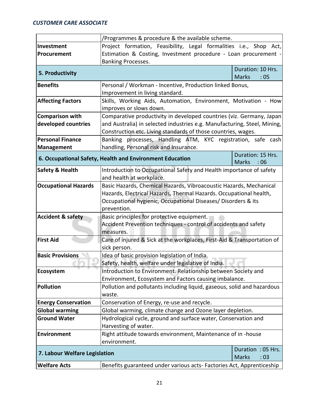|                               | /Programmes & procedure & the available scheme.                          |                                          |  |  |  |  |  |  |  |
|-------------------------------|--------------------------------------------------------------------------|------------------------------------------|--|--|--|--|--|--|--|
| Investment                    | Project formation, Feasibility, Legal formalities i.e., Shop Act,        |                                          |  |  |  |  |  |  |  |
| Procurement                   | Estimation & Costing, Investment procedure - Loan procurement -          |                                          |  |  |  |  |  |  |  |
|                               | Banking Processes.                                                       |                                          |  |  |  |  |  |  |  |
| 5. Productivity               |                                                                          | Duration: 10 Hrs.                        |  |  |  |  |  |  |  |
|                               |                                                                          | <b>Marks</b><br>:05                      |  |  |  |  |  |  |  |
| <b>Benefits</b>               | Personal / Workman - Incentive, Production linked Bonus,                 |                                          |  |  |  |  |  |  |  |
|                               | Improvement in living standard.                                          |                                          |  |  |  |  |  |  |  |
| <b>Affecting Factors</b>      | Skills, Working Aids, Automation, Environment, Motivation - How          |                                          |  |  |  |  |  |  |  |
|                               | improves or slows down.                                                  |                                          |  |  |  |  |  |  |  |
| <b>Comparison with</b>        | Comparative productivity in developed countries (viz. Germany, Japan     |                                          |  |  |  |  |  |  |  |
| developed countries           | and Australia) in selected industries e.g. Manufacturing, Steel, Mining, |                                          |  |  |  |  |  |  |  |
|                               | Construction etc. Living standards of those countries, wages.            |                                          |  |  |  |  |  |  |  |
| <b>Personal Finance</b>       | Banking processes, Handling ATM, KYC registration, safe cash             |                                          |  |  |  |  |  |  |  |
| <b>Management</b>             | handling, Personal risk and Insurance.                                   |                                          |  |  |  |  |  |  |  |
|                               | 6. Occupational Safety, Health and Environment Education                 | Duration: 15 Hrs.<br><b>Marks</b><br>:06 |  |  |  |  |  |  |  |
| <b>Safety &amp; Health</b>    | Introduction to Occupational Safety and Health importance of safety      |                                          |  |  |  |  |  |  |  |
|                               | and health at workplace.                                                 |                                          |  |  |  |  |  |  |  |
| <b>Occupational Hazards</b>   | Basic Hazards, Chemical Hazards, Vibroacoustic Hazards, Mechanical       |                                          |  |  |  |  |  |  |  |
|                               | Hazards, Electrical Hazards, Thermal Hazards. Occupational health,       |                                          |  |  |  |  |  |  |  |
|                               | Occupational hygienic, Occupational Diseases/ Disorders & its            |                                          |  |  |  |  |  |  |  |
|                               | prevention.                                                              |                                          |  |  |  |  |  |  |  |
| <b>Accident &amp; safety</b>  | Basic principles for protective equipment.                               |                                          |  |  |  |  |  |  |  |
|                               | Accident Prevention techniques - control of accidents and safety         |                                          |  |  |  |  |  |  |  |
|                               | measures.                                                                |                                          |  |  |  |  |  |  |  |
| <b>First Aid</b>              | Care of injured & Sick at the workplaces, First-Aid & Transportation of  |                                          |  |  |  |  |  |  |  |
|                               | sick person.                                                             |                                          |  |  |  |  |  |  |  |
| <b>Basic Provisions</b>       | Idea of basic provision legislation of India.                            |                                          |  |  |  |  |  |  |  |
|                               | Safety, health, welfare under legislative of India.                      |                                          |  |  |  |  |  |  |  |
| Ecosystem                     | Introduction to Environment. Relationship between Society and            |                                          |  |  |  |  |  |  |  |
|                               | Environment, Ecosystem and Factors causing imbalance.                    |                                          |  |  |  |  |  |  |  |
| <b>Pollution</b>              | Pollution and pollutants including liquid, gaseous, solid and hazardous  |                                          |  |  |  |  |  |  |  |
|                               | waste.                                                                   |                                          |  |  |  |  |  |  |  |
| <b>Energy Conservation</b>    | Conservation of Energy, re-use and recycle.                              |                                          |  |  |  |  |  |  |  |
| <b>Global warming</b>         | Global warming, climate change and Ozone layer depletion.                |                                          |  |  |  |  |  |  |  |
| <b>Ground Water</b>           | Hydrological cycle, ground and surface water, Conservation and           |                                          |  |  |  |  |  |  |  |
|                               | Harvesting of water.                                                     |                                          |  |  |  |  |  |  |  |
| <b>Environment</b>            | Right attitude towards environment, Maintenance of in -house             |                                          |  |  |  |  |  |  |  |
|                               | environment.                                                             |                                          |  |  |  |  |  |  |  |
| 7. Labour Welfare Legislation |                                                                          | Duration: 05 Hrs.                        |  |  |  |  |  |  |  |
|                               |                                                                          | <b>Marks</b><br>: 03                     |  |  |  |  |  |  |  |
| <b>Welfare Acts</b>           | Benefits guaranteed under various acts- Factories Act, Apprenticeship    |                                          |  |  |  |  |  |  |  |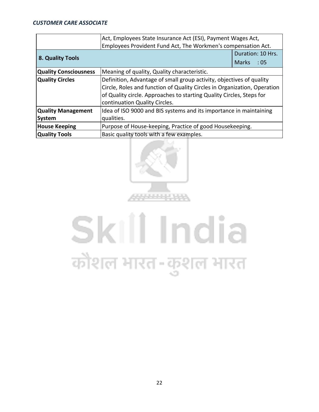|                              | Act, Employees State Insurance Act (ESI), Payment Wages Act,<br>Employees Provident Fund Act, The Workmen's compensation Act.                                                                                                                             |                                 |  |  |  |  |
|------------------------------|-----------------------------------------------------------------------------------------------------------------------------------------------------------------------------------------------------------------------------------------------------------|---------------------------------|--|--|--|--|
| 8. Quality Tools             |                                                                                                                                                                                                                                                           | Duration: 10 Hrs.<br>Marks : 05 |  |  |  |  |
| <b>Quality Consciousness</b> | Meaning of quality, Quality characteristic.                                                                                                                                                                                                               |                                 |  |  |  |  |
| <b>Quality Circles</b>       | Definition, Advantage of small group activity, objectives of quality<br>Circle, Roles and function of Quality Circles in Organization, Operation<br>of Quality circle. Approaches to starting Quality Circles, Steps for<br>continuation Quality Circles. |                                 |  |  |  |  |
| <b>Quality Management</b>    | Idea of ISO 9000 and BIS systems and its importance in maintaining                                                                                                                                                                                        |                                 |  |  |  |  |
| System                       | qualities.                                                                                                                                                                                                                                                |                                 |  |  |  |  |
| <b>House Keeping</b>         | Purpose of House-keeping, Practice of good Housekeeping.                                                                                                                                                                                                  |                                 |  |  |  |  |
| <b>Quality Tools</b>         | Basic quality tools with a few examples.                                                                                                                                                                                                                  |                                 |  |  |  |  |



## Skill India कौशल भारत-कुशल भारत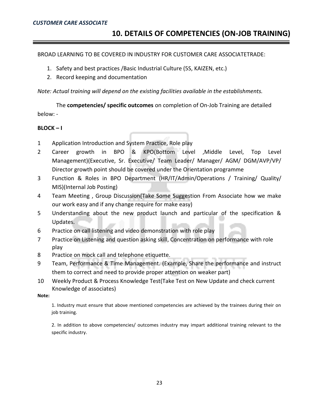BROAD LEARNING TO BE COVERED IN INDUSTRY FOR CUSTOMER CARE ASSOCIATETRADE:

- 1. Safety and best practices /Basic Industrial Culture (5S, KAIZEN, etc.)
- 2. Record keeping and documentation

*Note: Actual training will depend on the existing facilities available in the establishments.*

The **competencies/ specific outcomes** on completion of On-Job Training are detailed below: -

#### **BLOCK – I**

- 1 Application Introduction and System Practice, Role play
- 2 Career growth in BPO & KPO(Bottom Level ,Middle Level, Top Level Management)(Executive, Sr. Executive/ Team Leader/ Manager/ AGM/ DGM/AVP/VP/ Director growth point should be covered under the Orientation programme
- 3 Function & Roles in BPO Department (HR/IT/Admin/Operations / Training/ Quality/ MIS)(Internal Job Posting)
- 4 Team Meeting , Group Discussion(Take Some Suggestion From Associate how we make our work easy and if any change require for make easy)
- 5 Understanding about the new product launch and particular of the specification & Updates.
- 6 Practice on call listening and video demonstration with role play
- 7 Practice on Listening and question asking skill, Concentration on performance with role play
- 8 Practice on mock call and telephone etiquette.
- 9 Team, Performance & Time Management. (Example, Share the performance and instruct them to correct and need to provide proper attention on weaker part)
- 10 Weekly Product & Process Knowledge Test(Take Test on New Update and check current Knowledge of associates)

#### **Note:**

1. Industry must ensure that above mentioned competencies are achieved by the trainees during their on job training.

2. In addition to above competencies/ outcomes industry may impart additional training relevant to the specific industry.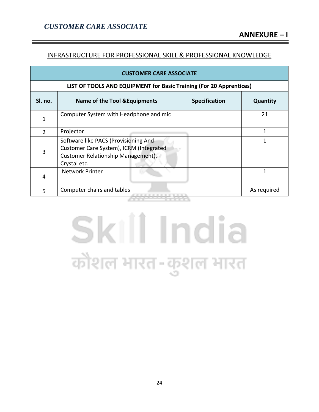#### INFRASTRUCTURE FOR PROFESSIONAL SKILL & PROFESSIONAL KNOWLEDGE

| <b>CUSTOMER CARE ASSOCIATE</b>                                      |                                                                                                                                       |                      |             |  |  |  |  |  |  |
|---------------------------------------------------------------------|---------------------------------------------------------------------------------------------------------------------------------------|----------------------|-------------|--|--|--|--|--|--|
| LIST OF TOOLS AND EQUIPMENT for Basic Training (For 20 Apprentices) |                                                                                                                                       |                      |             |  |  |  |  |  |  |
| Sl. no.                                                             | <b>Name of the Tool &amp; Equipments</b>                                                                                              | <b>Specification</b> | Quantity    |  |  |  |  |  |  |
|                                                                     | Computer System with Headphone and mic                                                                                                |                      | 21          |  |  |  |  |  |  |
| $\overline{2}$                                                      | Projector                                                                                                                             |                      | 1           |  |  |  |  |  |  |
| 3                                                                   | Software like PACS (Provisioning And<br>Customer Care System), ICRM (Integrated<br>Customer Relationship Management),<br>Crystal etc. |                      |             |  |  |  |  |  |  |
| 4                                                                   | <b>Network Printer</b>                                                                                                                |                      | 1           |  |  |  |  |  |  |
| 5                                                                   | Computer chairs and tables                                                                                                            |                      | As required |  |  |  |  |  |  |
|                                                                     |                                                                                                                                       |                      |             |  |  |  |  |  |  |

### Skill India कौशल भारत-कुशल भारत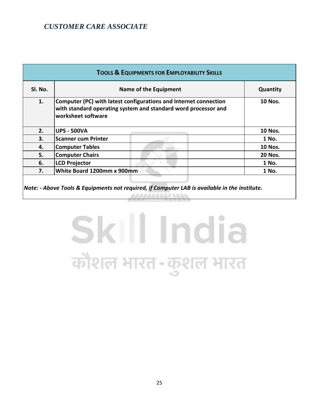| <b>TOOLS &amp; EQUIPMENTS FOR EMPLOYABILITY SKILLS</b> |                                                                                                                                                          |                |  |  |  |  |  |  |
|--------------------------------------------------------|----------------------------------------------------------------------------------------------------------------------------------------------------------|----------------|--|--|--|--|--|--|
| Sl. No.                                                | Name of the Equipment                                                                                                                                    | Quantity       |  |  |  |  |  |  |
| 1.                                                     | Computer (PC) with latest configurations and Internet connection<br>with standard operating system and standard word processor and<br>worksheet software | <b>10 Nos.</b> |  |  |  |  |  |  |
| 2.                                                     | <b>UPS - 500VA</b>                                                                                                                                       | <b>10 Nos.</b> |  |  |  |  |  |  |
| 3.                                                     | <b>Scanner cum Printer</b>                                                                                                                               | 1 No.          |  |  |  |  |  |  |
| 4.                                                     | <b>Computer Tables</b>                                                                                                                                   | <b>10 Nos.</b> |  |  |  |  |  |  |
| 5.                                                     | <b>Computer Chairs</b>                                                                                                                                   | <b>20 Nos.</b> |  |  |  |  |  |  |
| 6.                                                     | <b>LCD Projector</b>                                                                                                                                     | 1 No.          |  |  |  |  |  |  |
| 7.                                                     | White Board 1200mm x 900mm                                                                                                                               | 1 No.          |  |  |  |  |  |  |

*Note: - Above Tools & Equipments not required, if Computer LAB is available in the institute.*

## Skill India कौशल भारत-कुशल भारत

ARRAIGHED MAN